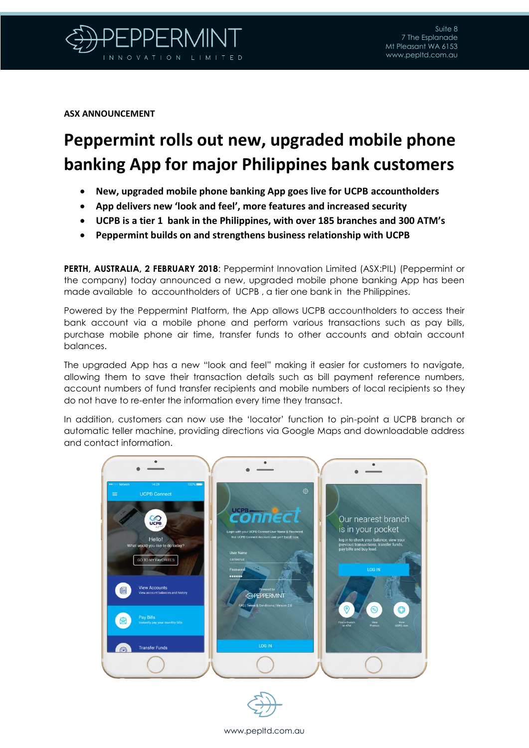

**ASX ANNOUNCEMENT**

## **Peppermint rolls out new, upgraded mobile phone banking App for major Philippines bank customers**

- **New, upgraded mobile phone banking App goes live for UCPB accountholders**
- **App delivers new 'look and feel', more features and increased security**
- **UCPB is a tier 1 bank in the Philippines, with over 185 branches and 300 ATM's**
- **Peppermint builds on and strengthens business relationship with UCPB**

**PERTH, AUSTRALIA, 2 FEBRUARY 2018**: Peppermint Innovation Limited (ASX:PIL) (Peppermint or the company) today announced a new, upgraded mobile phone banking App has been made available to accountholders of UCPB , a tier one bank in the Philippines.

Powered by the Peppermint Platform, the App allows UCPB accountholders to access their bank account via a mobile phone and perform various transactions such as pay bills, purchase mobile phone air time, transfer funds to other accounts and obtain account balances.

The upgraded App has a new "look and feel" making it easier for customers to navigate, allowing them to save their transaction details such as bill payment reference numbers, account numbers of fund transfer recipients and mobile numbers of local recipients so they do not have to re-enter the information every time they transact.

In addition, customers can now use the 'locator' function to pin-point a UCPB branch or automatic teller machine, providing directions via Google Maps and downloadable address and contact information.





## www.pepltd.com.au